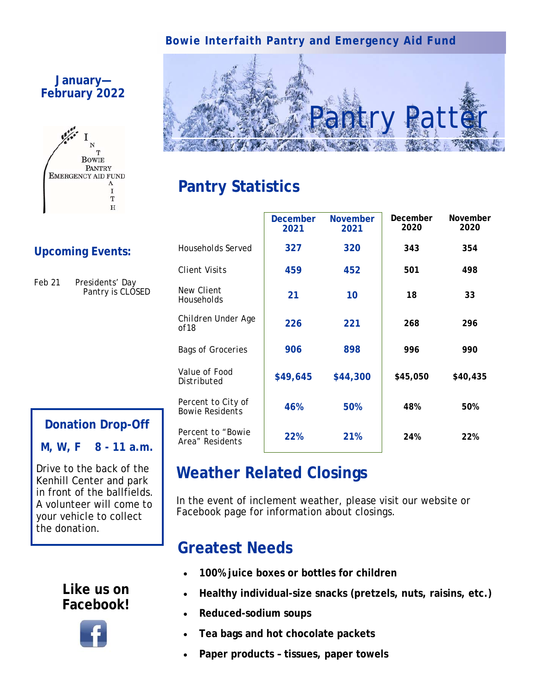### **Bowie Interfaith Pantry and Emergency Aid Fund**

**December** 



# **Pantry Statistics**

|  | <b>Upcoming Events:</b> |
|--|-------------------------|
|  |                         |

**January— February 2022**

Feb 21 Presidents' Day Pantry is *CLOSED* 

T **BOWIE** PANTRY **EMERGENCY AID FUND** 

> $\mathbf{A}$ I T  $\overline{H}$

# **Donation Drop-Off**

**M, W, F 8 - 11 a.m.** 

Drive to the back of the Kenhill Center and park in front of the ballfields. A volunteer will come to your vehicle to collect the donation.

### **Like us on Facebook!**



|                                              | 2021     | 2021     | 2020     | 2020     |
|----------------------------------------------|----------|----------|----------|----------|
| <b>Households Served</b>                     | 327      | 320      | 343      | 354      |
| Client Visits                                | 459      | 452      | 501      | 498      |
| <b>New Client</b><br>Households              | 21       | 10       | 18       | 33       |
| Children Under Age<br>of 18                  | 226      | 221      | 268      | 296      |
| <b>Bags of Groceries</b>                     | 906      | 898      | 996      | 990      |
| <i>Value of Food</i><br>Distributed          | \$49,645 | \$44,300 | \$45,050 | \$40,435 |
| Percent to City of<br><b>Bowie Residents</b> | 46%      | 50%      | 48%      | 50%      |
| <i>Percent to "Bowie</i><br>Area" Residents  | 22%      | 21%      | 24%      | 22%      |

**November** 

**December** 

**November** 

# **Weather Related Closings**

In the event of inclement weather, please visit our website or Facebook page for information about closings.

### **Greatest Needs**

- **100% juice boxes or bottles for children**
- **Healthy individual-size snacks (pretzels, nuts, raisins, etc.)**
- **Reduced-sodium soups**
- **Tea bags and hot chocolate packets**
- **Paper products tissues, paper towels**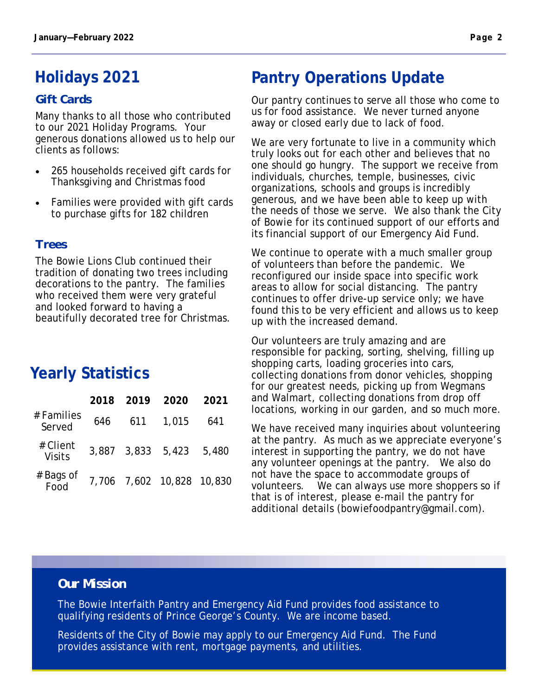# **Holidays 2021**

#### *Gift Cards*

Many thanks to all those who contributed to our 2021 Holiday Programs. Your generous donations allowed us to help our clients as follows:

- 265 households received gift cards for Thanksgiving and Christmas food
- Families were provided with gift cards to purchase gifts for 182 children

#### *Trees*

The Bowie Lions Club continued their tradition of donating two trees including decorations to the pantry. The families who received them were very grateful and looked forward to having a beautifully decorated tree for Christmas.

# **Yearly Statistics**

|                           | 2018 | 2019              | 2020                      | 2021  |
|---------------------------|------|-------------------|---------------------------|-------|
| # Families<br>Served      | 646  | 611               | 1,015                     | 641   |
| # Client<br><b>Visits</b> |      | 3,887 3,833 5,423 |                           | 5,480 |
| # Bags of<br>Food         |      |                   | 7,706 7,602 10,828 10,830 |       |

# **Pantry Operations Update**

Our pantry continues to serve all those who come to us for food assistance. We never turned anyone away or closed early due to lack of food.

We are very fortunate to live in a community which truly looks out for each other and believes that no one should go hungry. The support we receive from individuals, churches, temple, businesses, civic organizations, schools and groups is incredibly generous, and we have been able to keep up with the needs of those we serve. We also thank the City of Bowie for its continued support of our efforts and its financial support of our Emergency Aid Fund.

We continue to operate with a much smaller group of volunteers than before the pandemic. We reconfigured our inside space into specific work areas to allow for social distancing. The pantry continues to offer drive-up service only; we have found this to be very efficient and allows us to keep up with the increased demand.

Our volunteers are truly amazing and are responsible for packing, sorting, shelving, filling up shopping carts, loading groceries into cars, collecting donations from donor vehicles, shopping for our greatest needs, picking up from Wegmans and Walmart, collecting donations from drop off locations, working in our garden, and so much more.

We have received many inquiries about volunteering at the pantry. As much as we appreciate everyone's interest in supporting the pantry, we do not have any volunteer openings at the pantry. We also do not have the space to accommodate groups of volunteers. We can always use more shoppers so if that is of interest, please e-mail the pantry for additional details (bowiefoodpantry@gmail.com).

#### *Our Mission*

The Bowie Interfaith Pantry and Emergency Aid Fund provides food assistance to qualifying residents of Prince George's County. We are income based.

Residents of the City of Bowie may apply to our Emergency Aid Fund. The Fund provides assistance with rent, mortgage payments, and utilities.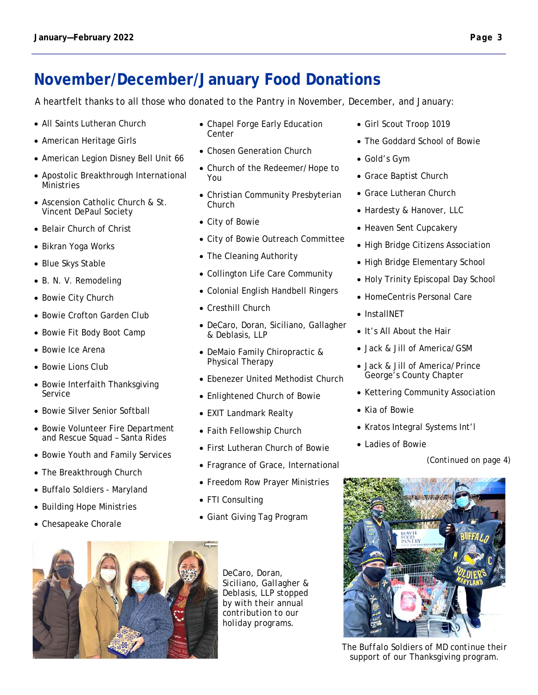### **November/December/January Food Donations**

A heartfelt thanks to all those who donated to the Pantry in November, December, and January:

- All Saints Lutheran Church
- American Heritage Girls
- American Legion Disney Bell Unit 66
- Apostolic Breakthrough International Ministries
- Ascension Catholic Church & St. Vincent DePaul Society
- Belair Church of Christ
- Bikran Yoga Works
- Blue Skys Stable
- B. N. V. Remodeling
- Bowie City Church
- Bowie Crofton Garden Club
- Bowie Fit Body Boot Camp
- Bowie Ice Arena
- Bowie Lions Club
- Bowie Interfaith Thanksgiving Service
- Bowie Silver Senior Softball
- Bowie Volunteer Fire Department and Rescue Squad – Santa Rides
- Bowie Youth and Family Services
- The Breakthrough Church
- Buffalo Soldiers Maryland
- Building Hope Ministries
- Chesapeake Chorale
- Chapel Forge Early Education Center
- Chosen Generation Church
- Church of the Redeemer/Hope to You
- Christian Community Presbyterian Church
- City of Bowie
- City of Bowie Outreach Committee
- The Cleaning Authority
- Collington Life Care Community
- Colonial English Handbell Ringers
- Cresthill Church
- DeCaro, Doran, Siciliano, Gallagher & Deblasis, LLP
- DeMaio Family Chiropractic & Physical Therapy
- Ebenezer United Methodist Church
- Enlightened Church of Bowie
- EXIT Landmark Realty
- Faith Fellowship Church
- First Lutheran Church of Bowie
- Fragrance of Grace, International
- Freedom Row Prayer Ministries
- FTI Consulting
- Giant Giving Tag Program



*DeCaro, Doran, Siciliano, Gallagher & Deblasis, LLP stopped by with their annual contribution to our holiday programs.* 

- Girl Scout Troop 1019
- The Goddard School of Bowie
- Gold's Gym
- Grace Baptist Church
- Grace Lutheran Church
- Hardesty & Hanover, LLC
- Heaven Sent Cupcakery
- High Bridge Citizens Association
- High Bridge Elementary School
- Holy Trinity Episcopal Day School
- HomeCentris Personal Care
- InstallNET
- It's All About the Hair
- Jack & Jill of America/GSM
- Jack & Jill of America/Prince George's County Chapter
- Kettering Community Association
- Kia of Bowie
- Kratos Integral Systems Int'l
- Ladies of Bowie

*(Continued on page 4)* 



*The Buffalo Soldiers of MD continue their support of our Thanksgiving program.*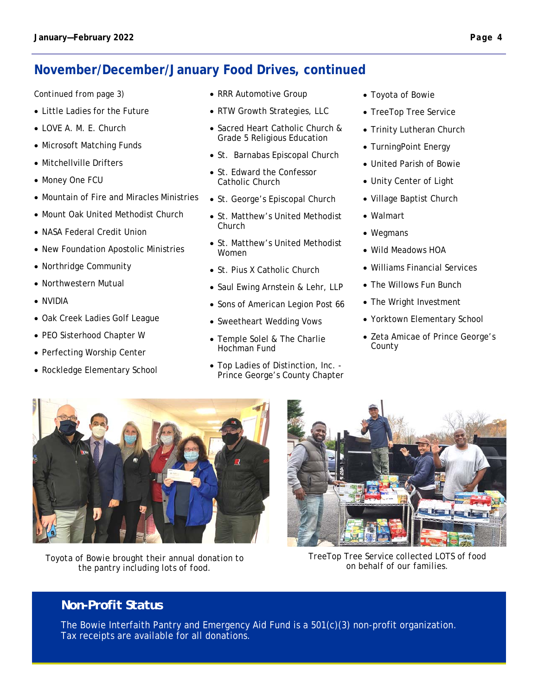### **November/December/January Food Drives, continued**

#### *Continued from page 3)*

- Little Ladies for the Future
- LOVE A. M. E. Church
- Microsoft Matching Funds
- Mitchellville Drifters
- Money One FCU
- Mountain of Fire and Miracles Ministries
- Mount Oak United Methodist Church
- NASA Federal Credit Union
- New Foundation Apostolic Ministries
- Northridge Community
- Northwestern Mutual
- NVIDIA
- Oak Creek Ladies Golf League
- PEO Sisterhood Chapter W
- Perfecting Worship Center
- Rockledge Elementary School
- RRR Automotive Group
- RTW Growth Strategies, LLC
- Sacred Heart Catholic Church & Grade 5 Religious Education
- St. Barnabas Episcopal Church
- St. Edward the Confessor Catholic Church
- St. George's Episcopal Church
- St. Matthew's United Methodist Church
- St. Matthew's United Methodist Women
- St. Pius X Catholic Church
- Saul Ewing Arnstein & Lehr, LLP
- Sons of American Legion Post 66
- Sweetheart Wedding Vows
- Temple Solel & The Charlie Hochman Fund
- Top Ladies of Distinction, Inc. Prince George's County Chapter
- Toyota of Bowie
- TreeTop Tree Service
- Trinity Lutheran Church
- TurningPoint Energy
- United Parish of Bowie
- Unity Center of Light
- Village Baptist Church
- Walmart
- Wegmans
- Wild Meadows HOA
- Williams Financial Services
- The Willows Fun Bunch
- The Wright Investment
- Yorktown Elementary School
- Zeta Amicae of Prince George's County



*Toyota of Bowie brought their annual donation to the pantry including lots of food.* 



*TreeTop Tree Service collected LOTS of food on behalf of our families.* 

#### *Non-Profit Status*

The Bowie Interfaith Pantry and Emergency Aid Fund is a 501(c)(3) non-profit organization. Tax receipts are available for all donations.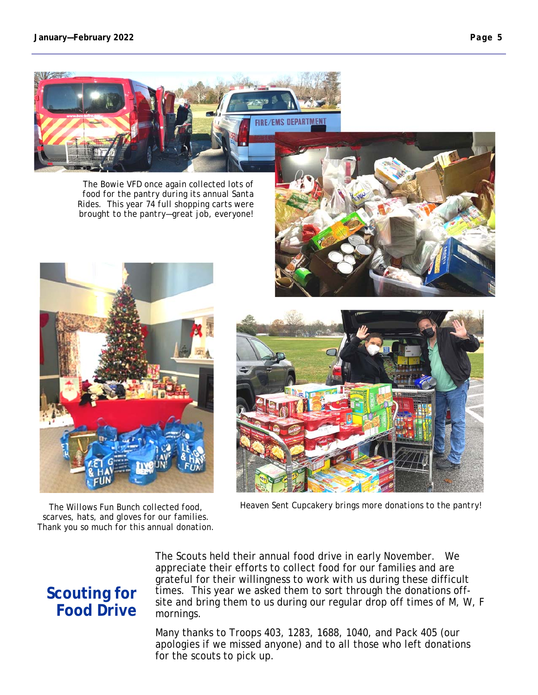*The Bowie VFD once again collected lots of food for the pantry during its annual Santa Rides. This year 74 full shopping carts were brought to the pantry—great job, everyone!* 

*The Willows Fun Bunch collected food, Heaven Sent Cupcakery brings more donations to the pantry! scarves, hats, and gloves for our families. Thank you so much for this annual donation.* 

**Scouting for Food Drive** 

The Scouts held their annual food drive in early November. We appreciate their efforts to collect food for our families and are grateful for their willingness to work with us during these difficult times. This year we asked them to sort through the donations offsite and bring them to us during our regular drop off times of M, W, F mornings.

Many thanks to Troops 403, 1283, 1688, 1040, and Pack 405 (our apologies if we missed anyone) and to all those who left donations for the scouts to pick up.





**EMS DEPARTMEN**